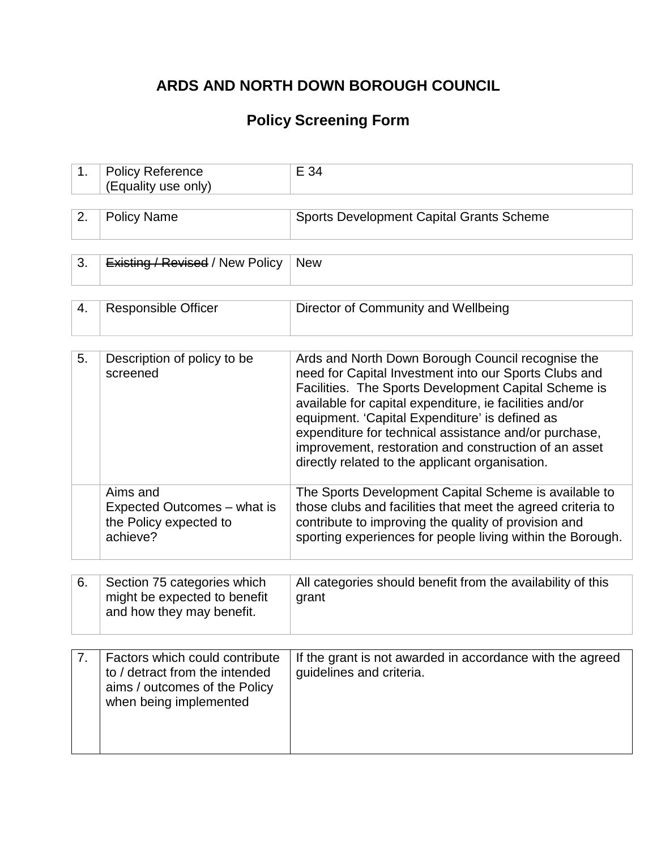# **ARDS AND NORTH DOWN BOROUGH COUNCIL**

## **Policy Screening Form**

| 1. | <b>Policy Reference</b><br>(Equality use only)                                                                              | E 34                                                                                                                                                                                                                                                                                                                                                                                                                                                 |
|----|-----------------------------------------------------------------------------------------------------------------------------|------------------------------------------------------------------------------------------------------------------------------------------------------------------------------------------------------------------------------------------------------------------------------------------------------------------------------------------------------------------------------------------------------------------------------------------------------|
|    |                                                                                                                             |                                                                                                                                                                                                                                                                                                                                                                                                                                                      |
| 2. | <b>Policy Name</b>                                                                                                          | Sports Development Capital Grants Scheme                                                                                                                                                                                                                                                                                                                                                                                                             |
|    |                                                                                                                             |                                                                                                                                                                                                                                                                                                                                                                                                                                                      |
| 3. | <b>Existing / Revised / New Policy</b>                                                                                      | <b>New</b>                                                                                                                                                                                                                                                                                                                                                                                                                                           |
|    |                                                                                                                             |                                                                                                                                                                                                                                                                                                                                                                                                                                                      |
| 4. | <b>Responsible Officer</b>                                                                                                  | Director of Community and Wellbeing                                                                                                                                                                                                                                                                                                                                                                                                                  |
|    |                                                                                                                             |                                                                                                                                                                                                                                                                                                                                                                                                                                                      |
| 5. | Description of policy to be<br>screened                                                                                     | Ards and North Down Borough Council recognise the<br>need for Capital Investment into our Sports Clubs and<br>Facilities. The Sports Development Capital Scheme is<br>available for capital expenditure, ie facilities and/or<br>equipment. 'Capital Expenditure' is defined as<br>expenditure for technical assistance and/or purchase,<br>improvement, restoration and construction of an asset<br>directly related to the applicant organisation. |
|    | Aims and<br>Expected Outcomes – what is<br>the Policy expected to<br>achieve?                                               | The Sports Development Capital Scheme is available to<br>those clubs and facilities that meet the agreed criteria to<br>contribute to improving the quality of provision and<br>sporting experiences for people living within the Borough.                                                                                                                                                                                                           |
|    |                                                                                                                             |                                                                                                                                                                                                                                                                                                                                                                                                                                                      |
| 6. | Section 75 categories which<br>might be expected to benefit<br>and how they may benefit.                                    | All categories should benefit from the availability of this<br>grant                                                                                                                                                                                                                                                                                                                                                                                 |
|    |                                                                                                                             |                                                                                                                                                                                                                                                                                                                                                                                                                                                      |
| 7. | Factors which could contribute<br>to / detract from the intended<br>aims / outcomes of the Policy<br>when being implemented | If the grant is not awarded in accordance with the agreed<br>guidelines and criteria.                                                                                                                                                                                                                                                                                                                                                                |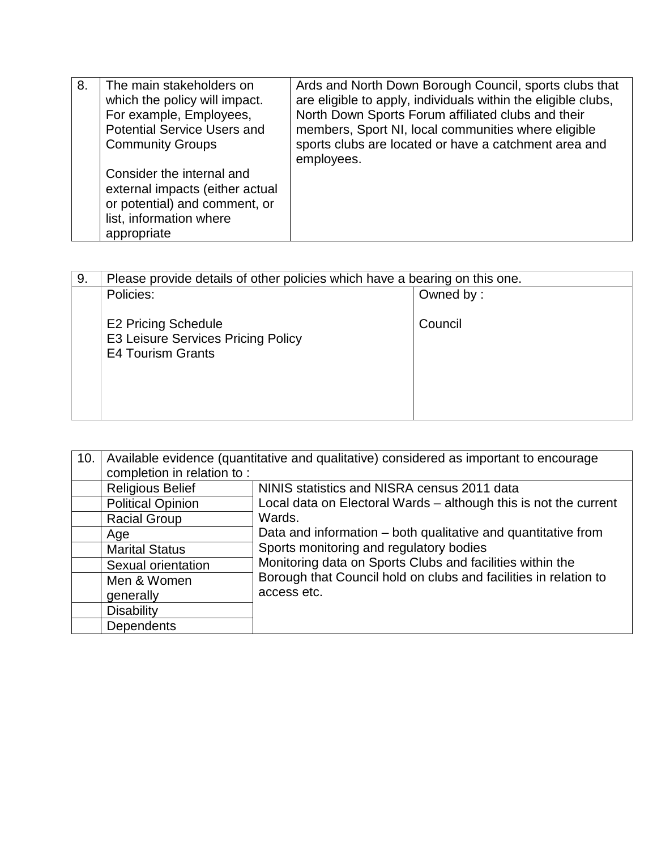| 8. | The main stakeholders on<br>which the policy will impact.<br>For example, Employees,<br><b>Potential Service Users and</b><br><b>Community Groups</b> | Ards and North Down Borough Council, sports clubs that<br>are eligible to apply, individuals within the eligible clubs,<br>North Down Sports Forum affiliated clubs and their<br>members, Sport NI, local communities where eligible<br>sports clubs are located or have a catchment area and<br>employees. |
|----|-------------------------------------------------------------------------------------------------------------------------------------------------------|-------------------------------------------------------------------------------------------------------------------------------------------------------------------------------------------------------------------------------------------------------------------------------------------------------------|
|    | Consider the internal and<br>external impacts (either actual<br>or potential) and comment, or<br>list, information where<br>appropriate               |                                                                                                                                                                                                                                                                                                             |

| 9. | Please provide details of other policies which have a bearing on this one.                   |           |
|----|----------------------------------------------------------------------------------------------|-----------|
|    | Policies:                                                                                    | Owned by: |
|    | <b>E2 Pricing Schedule</b><br>E3 Leisure Services Pricing Policy<br><b>E4 Tourism Grants</b> | Council   |

| 10. | Available evidence (quantitative and qualitative) considered as important to encourage |                                                                                                                                                                       |  |
|-----|----------------------------------------------------------------------------------------|-----------------------------------------------------------------------------------------------------------------------------------------------------------------------|--|
|     | completion in relation to:                                                             |                                                                                                                                                                       |  |
|     | <b>Religious Belief</b>                                                                | NINIS statistics and NISRA census 2011 data                                                                                                                           |  |
|     | <b>Political Opinion</b>                                                               | Local data on Electoral Wards - although this is not the current                                                                                                      |  |
|     | <b>Racial Group</b>                                                                    | Wards.                                                                                                                                                                |  |
|     | Age                                                                                    | Data and information – both qualitative and quantitative from<br>Sports monitoring and regulatory bodies<br>Monitoring data on Sports Clubs and facilities within the |  |
|     | <b>Marital Status</b>                                                                  |                                                                                                                                                                       |  |
|     | Sexual orientation                                                                     |                                                                                                                                                                       |  |
|     | Men & Women                                                                            | Borough that Council hold on clubs and facilities in relation to                                                                                                      |  |
|     | generally                                                                              | access etc.                                                                                                                                                           |  |
|     | <b>Disability</b>                                                                      |                                                                                                                                                                       |  |
|     | <b>Dependents</b>                                                                      |                                                                                                                                                                       |  |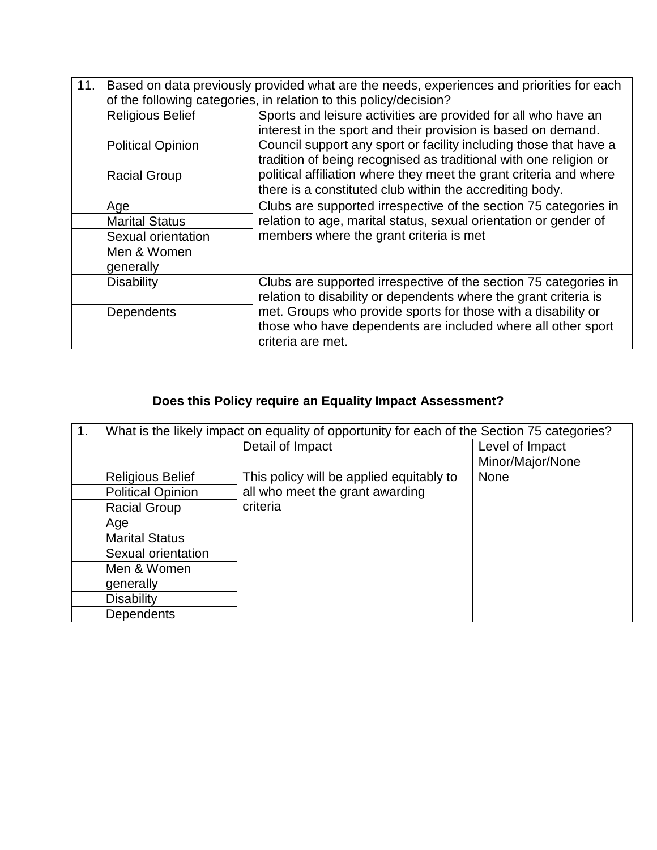| 11. | Based on data previously provided what are the needs, experiences and priorities for each<br>of the following categories, in relation to this policy/decision? |                                                                                                                                                    |  |
|-----|----------------------------------------------------------------------------------------------------------------------------------------------------------------|----------------------------------------------------------------------------------------------------------------------------------------------------|--|
|     | <b>Religious Belief</b>                                                                                                                                        | Sports and leisure activities are provided for all who have an<br>interest in the sport and their provision is based on demand.                    |  |
|     | <b>Political Opinion</b>                                                                                                                                       | Council support any sport or facility including those that have a<br>tradition of being recognised as traditional with one religion or             |  |
|     | <b>Racial Group</b>                                                                                                                                            | political affiliation where they meet the grant criteria and where<br>there is a constituted club within the accrediting body.                     |  |
|     | Age                                                                                                                                                            | Clubs are supported irrespective of the section 75 categories in                                                                                   |  |
|     | <b>Marital Status</b>                                                                                                                                          | relation to age, marital status, sexual orientation or gender of                                                                                   |  |
|     | Sexual orientation                                                                                                                                             | members where the grant criteria is met                                                                                                            |  |
|     | Men & Women                                                                                                                                                    |                                                                                                                                                    |  |
|     | generally                                                                                                                                                      |                                                                                                                                                    |  |
|     | <b>Disability</b>                                                                                                                                              | Clubs are supported irrespective of the section 75 categories in<br>relation to disability or dependents where the grant criteria is               |  |
|     | Dependents                                                                                                                                                     | met. Groups who provide sports for those with a disability or<br>those who have dependents are included where all other sport<br>criteria are met. |  |

## **Does this Policy require an Equality Impact Assessment?**

| 1. | What is the likely impact on equality of opportunity for each of the Section 75 categories? |                                          |                  |
|----|---------------------------------------------------------------------------------------------|------------------------------------------|------------------|
|    |                                                                                             | Detail of Impact                         | Level of Impact  |
|    |                                                                                             |                                          | Minor/Major/None |
|    | <b>Religious Belief</b>                                                                     | This policy will be applied equitably to | None             |
|    | <b>Political Opinion</b>                                                                    | all who meet the grant awarding          |                  |
|    | <b>Racial Group</b>                                                                         | criteria                                 |                  |
|    | Age                                                                                         |                                          |                  |
|    | <b>Marital Status</b>                                                                       |                                          |                  |
|    | Sexual orientation                                                                          |                                          |                  |
|    | Men & Women                                                                                 |                                          |                  |
|    | generally                                                                                   |                                          |                  |
|    | <b>Disability</b>                                                                           |                                          |                  |
|    | <b>Dependents</b>                                                                           |                                          |                  |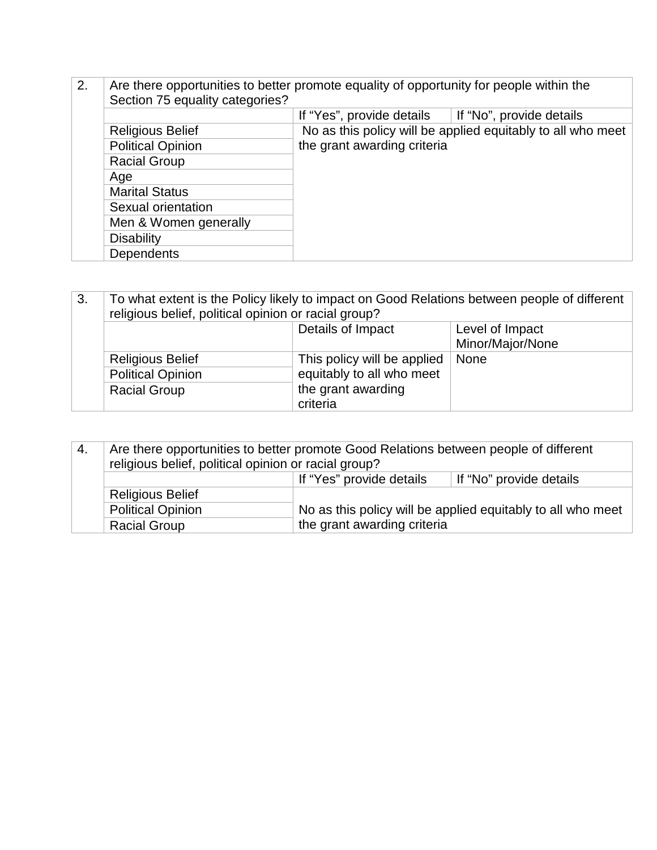| 2. | Are there opportunities to better promote equality of opportunity for people within the<br>Section 75 equality categories? |                                                             |                          |
|----|----------------------------------------------------------------------------------------------------------------------------|-------------------------------------------------------------|--------------------------|
|    |                                                                                                                            | If "Yes", provide details                                   | If "No", provide details |
|    | <b>Religious Belief</b>                                                                                                    | No as this policy will be applied equitably to all who meet |                          |
|    | <b>Political Opinion</b>                                                                                                   | the grant awarding criteria                                 |                          |
|    | <b>Racial Group</b>                                                                                                        |                                                             |                          |
|    | Age                                                                                                                        |                                                             |                          |
|    | <b>Marital Status</b>                                                                                                      |                                                             |                          |
|    | Sexual orientation                                                                                                         |                                                             |                          |
|    | Men & Women generally                                                                                                      |                                                             |                          |
|    | <b>Disability</b>                                                                                                          |                                                             |                          |
|    | <b>Dependents</b>                                                                                                          |                                                             |                          |

| 3. | To what extent is the Policy likely to impact on Good Relations between people of different<br>religious belief, political opinion or racial group? |                             |      |
|----|-----------------------------------------------------------------------------------------------------------------------------------------------------|-----------------------------|------|
|    | Details of Impact<br>Level of Impact                                                                                                                |                             |      |
|    | Minor/Major/None                                                                                                                                    |                             |      |
|    | <b>Religious Belief</b>                                                                                                                             | This policy will be applied | None |
|    | <b>Political Opinion</b>                                                                                                                            | equitably to all who meet   |      |
|    | <b>Racial Group</b>                                                                                                                                 | the grant awarding          |      |
|    |                                                                                                                                                     | criteria                    |      |

| 4. | Are there opportunities to better promote Good Relations between people of different<br>religious belief, political opinion or racial group? |                                                             |  |
|----|----------------------------------------------------------------------------------------------------------------------------------------------|-------------------------------------------------------------|--|
|    | If "Yes" provide details<br>If "No" provide details                                                                                          |                                                             |  |
|    | <b>Religious Belief</b>                                                                                                                      |                                                             |  |
|    | <b>Political Opinion</b>                                                                                                                     | No as this policy will be applied equitably to all who meet |  |
|    | <b>Racial Group</b>                                                                                                                          | the grant awarding criteria                                 |  |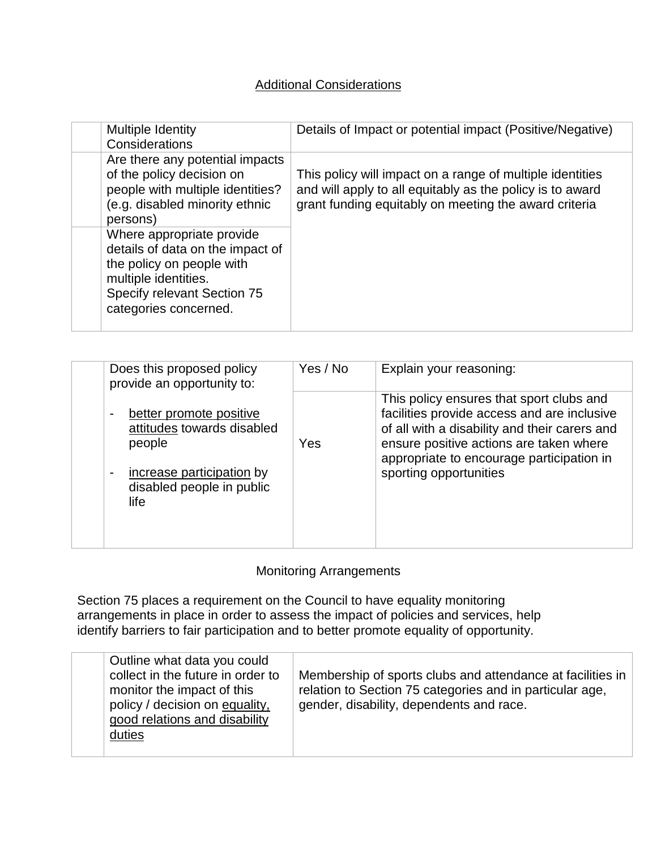#### Additional Considerations

| Multiple Identity<br>Considerations                                                                                                                                        | Details of Impact or potential impact (Positive/Negative)                                                                                                                       |
|----------------------------------------------------------------------------------------------------------------------------------------------------------------------------|---------------------------------------------------------------------------------------------------------------------------------------------------------------------------------|
| Are there any potential impacts<br>of the policy decision on<br>people with multiple identities?<br>(e.g. disabled minority ethnic<br>persons)                             | This policy will impact on a range of multiple identities<br>and will apply to all equitably as the policy is to award<br>grant funding equitably on meeting the award criteria |
| Where appropriate provide<br>details of data on the impact of<br>the policy on people with<br>multiple identities.<br>Specify relevant Section 75<br>categories concerned. |                                                                                                                                                                                 |

| Does this proposed policy<br>provide an opportunity to:                                                                                                                         | Yes / No | Explain your reasoning:                                                                                                                                                                                                                                    |
|---------------------------------------------------------------------------------------------------------------------------------------------------------------------------------|----------|------------------------------------------------------------------------------------------------------------------------------------------------------------------------------------------------------------------------------------------------------------|
| better promote positive<br>$\overline{\phantom{a}}$<br>attitudes towards disabled<br>people<br>increase participation by<br>$\overline{a}$<br>disabled people in public<br>life | Yes      | This policy ensures that sport clubs and<br>facilities provide access and are inclusive<br>of all with a disability and their carers and<br>ensure positive actions are taken where<br>appropriate to encourage participation in<br>sporting opportunities |

#### Monitoring Arrangements

Section 75 places a requirement on the Council to have equality monitoring arrangements in place in order to assess the impact of policies and services, help identify barriers to fair participation and to better promote equality of opportunity.

| Outline what data you could<br>collect in the future in order to<br>monitor the impact of this<br>policy / decision on equality,<br>good relations and disability<br>duties | Membership of sports clubs and attendance at facilities in<br>relation to Section 75 categories and in particular age,<br>gender, disability, dependents and race. |
|-----------------------------------------------------------------------------------------------------------------------------------------------------------------------------|--------------------------------------------------------------------------------------------------------------------------------------------------------------------|
|-----------------------------------------------------------------------------------------------------------------------------------------------------------------------------|--------------------------------------------------------------------------------------------------------------------------------------------------------------------|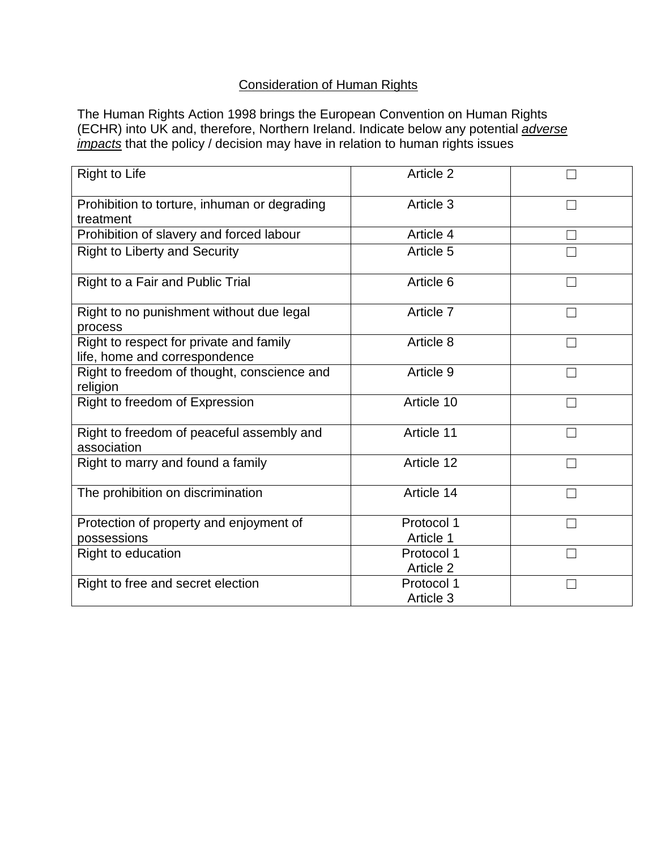### Consideration of Human Rights

The Human Rights Action 1998 brings the European Convention on Human Rights (ECHR) into UK and, therefore, Northern Ireland. Indicate below any potential *adverse impacts* that the policy / decision may have in relation to human rights issues

| <b>Right to Life</b>                                                     | Article 2               |  |
|--------------------------------------------------------------------------|-------------------------|--|
| Prohibition to torture, inhuman or degrading<br>treatment                | Article 3               |  |
| Prohibition of slavery and forced labour                                 | Article 4               |  |
| <b>Right to Liberty and Security</b>                                     | Article 5               |  |
| Right to a Fair and Public Trial                                         | Article 6               |  |
| Right to no punishment without due legal<br>process                      | Article 7               |  |
| Right to respect for private and family<br>life, home and correspondence | Article 8               |  |
| Right to freedom of thought, conscience and<br>religion                  | Article 9               |  |
| Right to freedom of Expression                                           | Article 10              |  |
| Right to freedom of peaceful assembly and<br>association                 | Article 11              |  |
| Right to marry and found a family                                        | Article 12              |  |
| The prohibition on discrimination                                        | Article 14              |  |
| Protection of property and enjoyment of                                  | Protocol 1              |  |
| possessions                                                              | Article 1               |  |
| Right to education                                                       | Protocol 1<br>Article 2 |  |
| Right to free and secret election                                        | Protocol 1<br>Article 3 |  |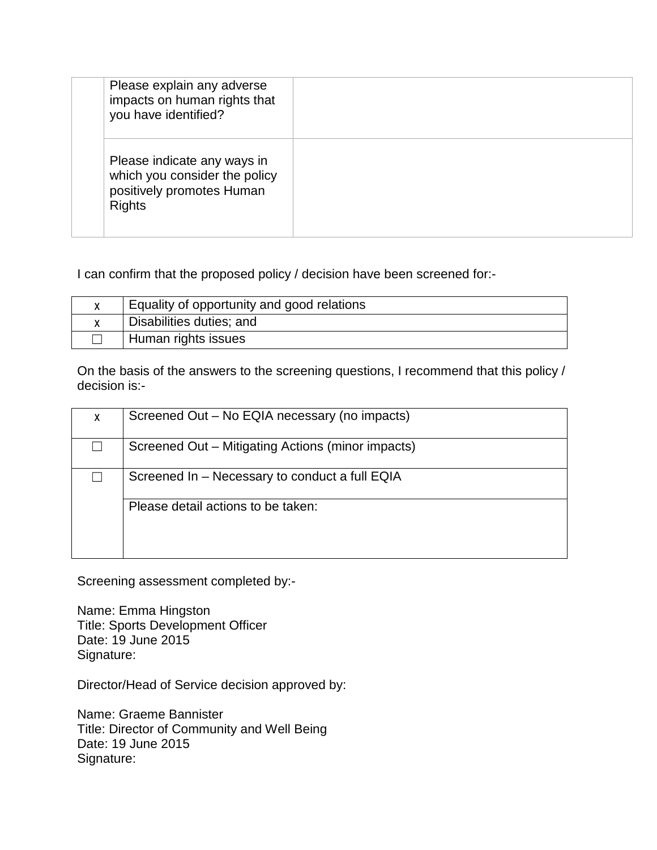| Please explain any adverse<br>impacts on human rights that<br>you have identified?                         |  |
|------------------------------------------------------------------------------------------------------------|--|
| Please indicate any ways in<br>which you consider the policy<br>positively promotes Human<br><b>Rights</b> |  |

I can confirm that the proposed policy / decision have been screened for:-

| Equality of opportunity and good relations |
|--------------------------------------------|
| Disabilities duties; and                   |
| Human rights issues                        |

On the basis of the answers to the screening questions, I recommend that this policy / decision is:-

| X | Screened Out - No EQIA necessary (no impacts)     |
|---|---------------------------------------------------|
|   | Screened Out - Mitigating Actions (minor impacts) |
|   | Screened In - Necessary to conduct a full EQIA    |
|   | Please detail actions to be taken:                |

Screening assessment completed by:-

Name: Emma Hingston Title: Sports Development Officer Date: 19 June 2015 Signature:

Director/Head of Service decision approved by:

Name: Graeme Bannister Title: Director of Community and Well Being Date: 19 June 2015 Signature: